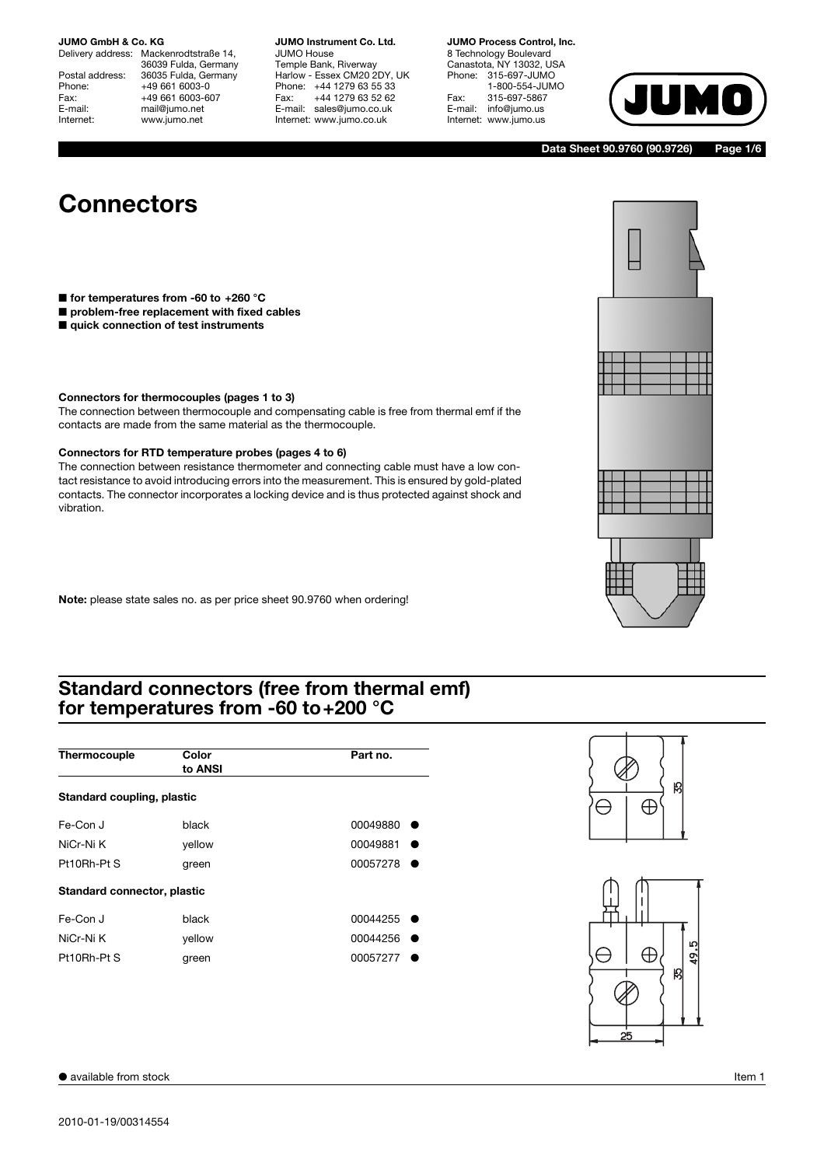Delivery address: Mackenrodtstraße 14, 36039 Fulda, Germany Postal address: 36035 Fulda, Germany<br>Phone: +49 661 6003-0 Phone: +49 661 6003-0<br>Fax: +49 661 6003-6 Fax: +49 661 6003-607<br>
E-mail: mail@jumo.net E-mail: mail@jumo.net<br>
Internet: www.jumo.net www.jumo.net

**JUMO Instrument Co. Ltd.** JUMO House

Temple Bank, Riverway Harlow - Essex CM20 2DY, UK Phone: +44 1279 63 55 33<br>Fax: +44 1279 63 52 62 Fax: +44 1279 63 52 62 E-mail: sales@jumo.co.uk Internet: www.jumo.co.uk

**JUMO Process Control, Inc.** 8 Technology Boulevard

Canastota, NY 13032, USA Phone: 315-697-JUMO 1-800-554-JUMO Fax: 315-697-5867<br>E-mail: info@jumo.us info@jumo.us Internet: www.jumo.us



**Data Sheet 90.9760 (90.9726) Page 1/6**

H

# **Connectors**

- **for temperatures from -60 to +260 °C**
- **problem-free replacement with fixed cables**
- **quick connection of test instruments**

#### **Connectors for thermocouples (pages 1 to 3)**

The connection between thermocouple and compensating cable is free from thermal emf if the contacts are made from the same material as the thermocouple.

#### **Connectors for RTD temperature probes (pages 4 to 6)**

The connection between resistance thermometer and connecting cable must have a low contact resistance to avoid introducing errors into the measurement. This is ensured by gold-plated contacts. The connector incorporates a locking device and is thus protected against shock and vibration.

**Note:** please state sales no. as per price sheet 90.9760 when ordering!

### **Standard connectors (free from thermal emf) for temperatures from -60 to+200 °C**

| Thermocouple                | Color<br>to ANSI | Part no. |
|-----------------------------|------------------|----------|
| Standard coupling, plastic  |                  |          |
| Fe-Con J                    | black            | 00049880 |
| NiCr-Ni K                   | yellow           | 00049881 |
| $Pt10Rh-PtS$                | green            | 00057278 |
| Standard connector, plastic |                  |          |
| Fe-Con J                    | black            | 00044255 |
| NiCr-Ni K                   | yellow           | 00044256 |
| Pt10Rh-Pt S                 | green            | 00057277 |



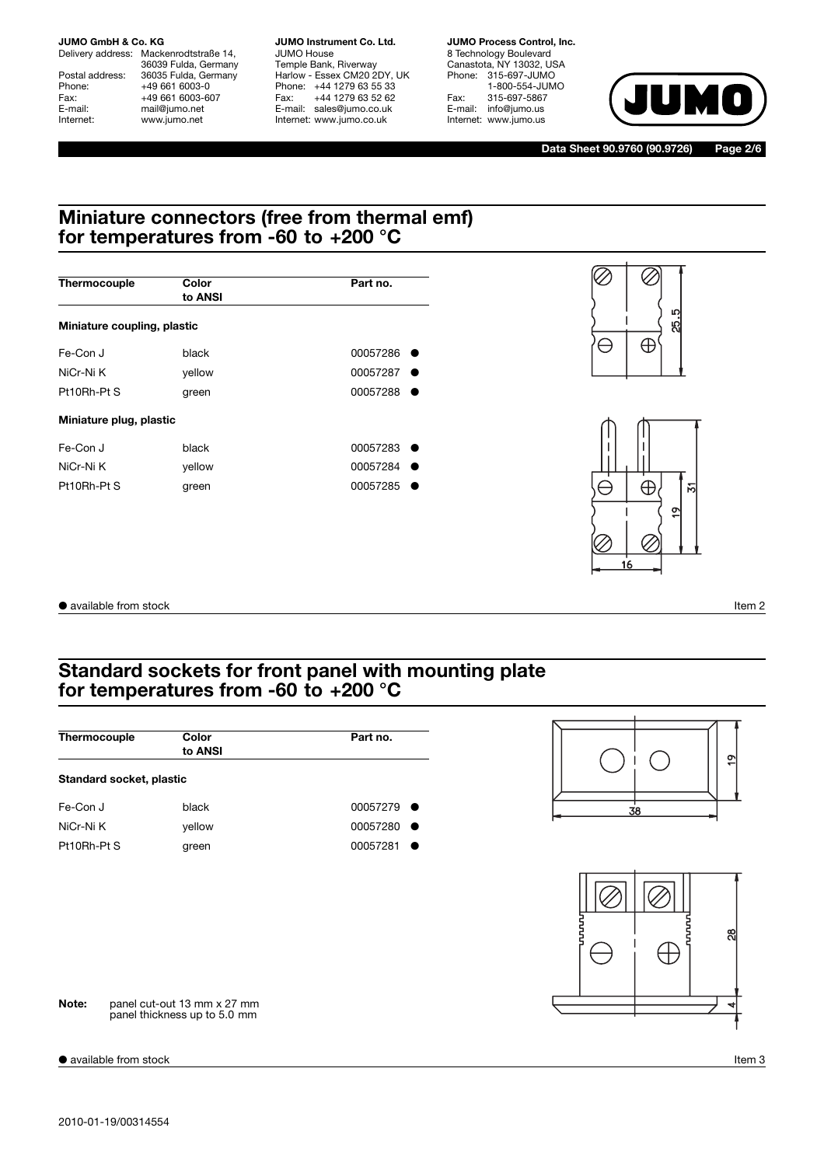Delivery address: Mackenrodtstraße 14, 36039 Fulda, Germany Postal address: 36035 Fulda, Germany<br>Phone: +49 661 6003-0 Phone: +49 661 6003-0<br>Fax: +49 661 6003-6 Fax: +49 661 6003-607<br>E-mail: +49 661 6003-607 E-mail: mail@jumo.net<br>
Internet: www.jumo.net www.jumo.net

**JUMO Instrument Co. Ltd.** JUMO House Temple Bank, Riverway Harlow - Essex CM20 2DY, UK Phone: +44 1279 63 55 33 Fax: +44 1279 63 52 62 E-mail: sales@jumo.co.uk Internet: www.jumo.co.uk

**JUMO Process Control, Inc.** 8 Technology Boulevard Canastota, NY 13032, USA Phone: 315-697-JUMO 1-800-554-JUMO Fax: 315-697-5867 E-mail: info@jumo.us Internet: www.jumo.us



**Data Sheet 90.9760 (90.9726) Page 2/6**

### **Miniature connectors (free from thermal emf) for temperatures from -60 to +200 °C**

| Thermocouple                | Color<br>to ANSI | Part no. |
|-----------------------------|------------------|----------|
| Miniature coupling, plastic |                  |          |
| Fe-Con J                    | black            | 00057286 |
| NiCr-Ni K                   | yellow           | 00057287 |
| Pt10Rh-Pt S                 | green            | 00057288 |
| Miniature plug, plastic     |                  |          |
| Fe-Con J                    | black            | 00057283 |
| NiCr-Ni K                   | yellow           | 00057284 |
| Pt10Rh-Pt S                 | green            | 00057285 |





● available from stock Item 2

### **Standard sockets for front panel with mounting plate for temperatures from -60 to +200 °C**

| Thermocouple             | Color<br>to ANSI                                            | Part no. | $\frac{6}{1}$ |
|--------------------------|-------------------------------------------------------------|----------|---------------|
| Standard socket, plastic |                                                             |          |               |
| Fe-Con J                 | black                                                       | 00057279 | 38            |
| NiCr-Ni K                | yellow                                                      | 00057280 |               |
| Pt10Rh-Pt S              | green                                                       | 00057281 |               |
|                          |                                                             |          | 8             |
| Note:                    | panel cut-out 13 mm x 27 mm<br>panel thickness up to 5.0 mm |          |               |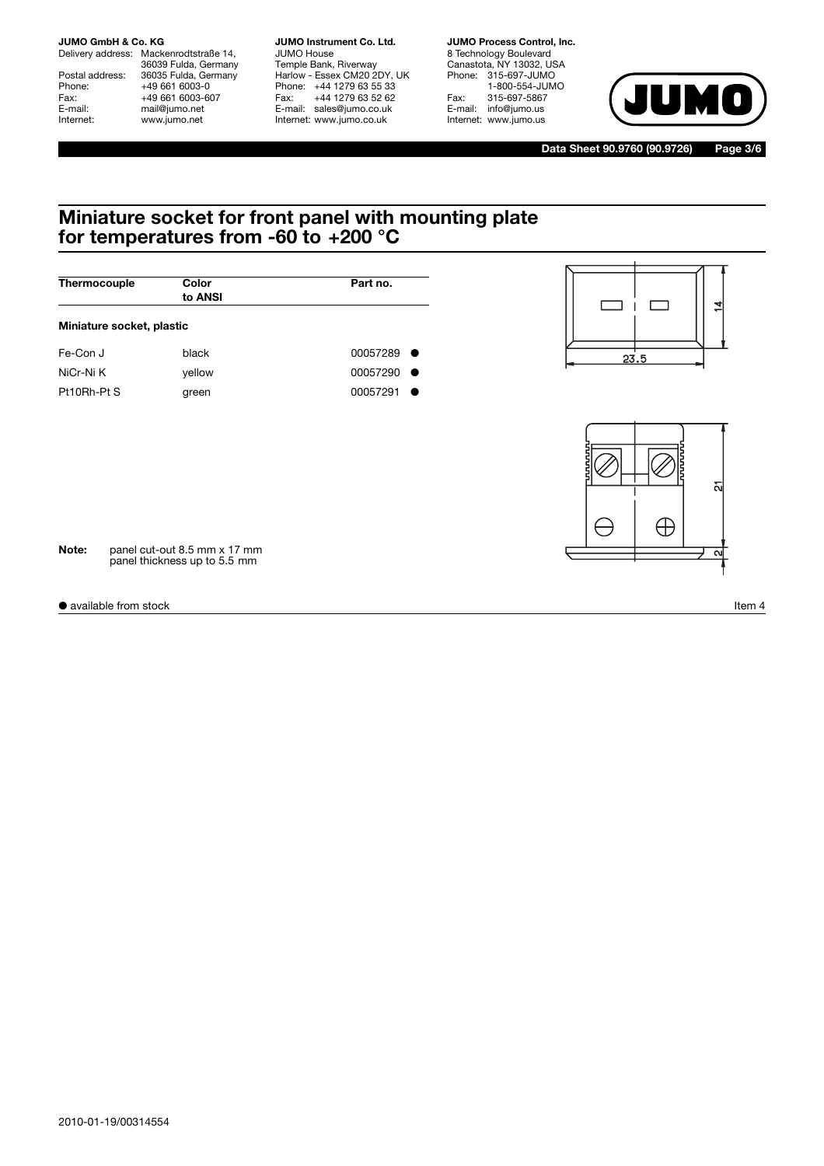Delivery address: Mackenrodtstraße 14, 36039 Fulda, Germany Postal address: 36035 Fulda, Germany<br>Phone: +49 661 6003-0 Phone: +49 661 6003-0<br>Fax: +49 661 6003-6 Fax: +49 661 6003-607<br>E-mail: +49 661 6003-607 E-mail: mail@jumo.net<br>
Internet: www.jumo.net www.jumo.net

**JUMO Instrument Co. Ltd.** JUMO House Temple Bank, Riverway Harlow - Essex CM20 2DY, UK Phone: +44 1279 63 55 33 Fax: +44 1279 63 52 62 E-mail: sales@jumo.co.uk Internet: www.jumo.co.uk

**JUMO Process Control, Inc.** 8 Technology Boulevard Canastota, NY 13032, USA Phone: 315-697-JUMO 1-800-554-JUMO Fax: 315-697-5867 E-mail: info@jumo.us Internet: www.jumo.us



**Data Sheet 90.9760 (90.9726) Page 3/6**

### **Miniature socket for front panel with mounting plate for temperatures from -60 to +200 °C**

| Thermocouple              | Color<br>to ANSI | Part no.           |
|---------------------------|------------------|--------------------|
| Miniature socket, plastic |                  |                    |
| Fe-Con J                  | black            | 00057289<br>- 0    |
| NiCr-Ni K                 | yellow           | 00057290<br>$\sim$ |
| Pt10Rh-Pt S               | green            | 00057291           |





**Note:** panel cut-out 8.5 mm x 17 mm panel thickness up to 5.5 mm

● available from stock Item 4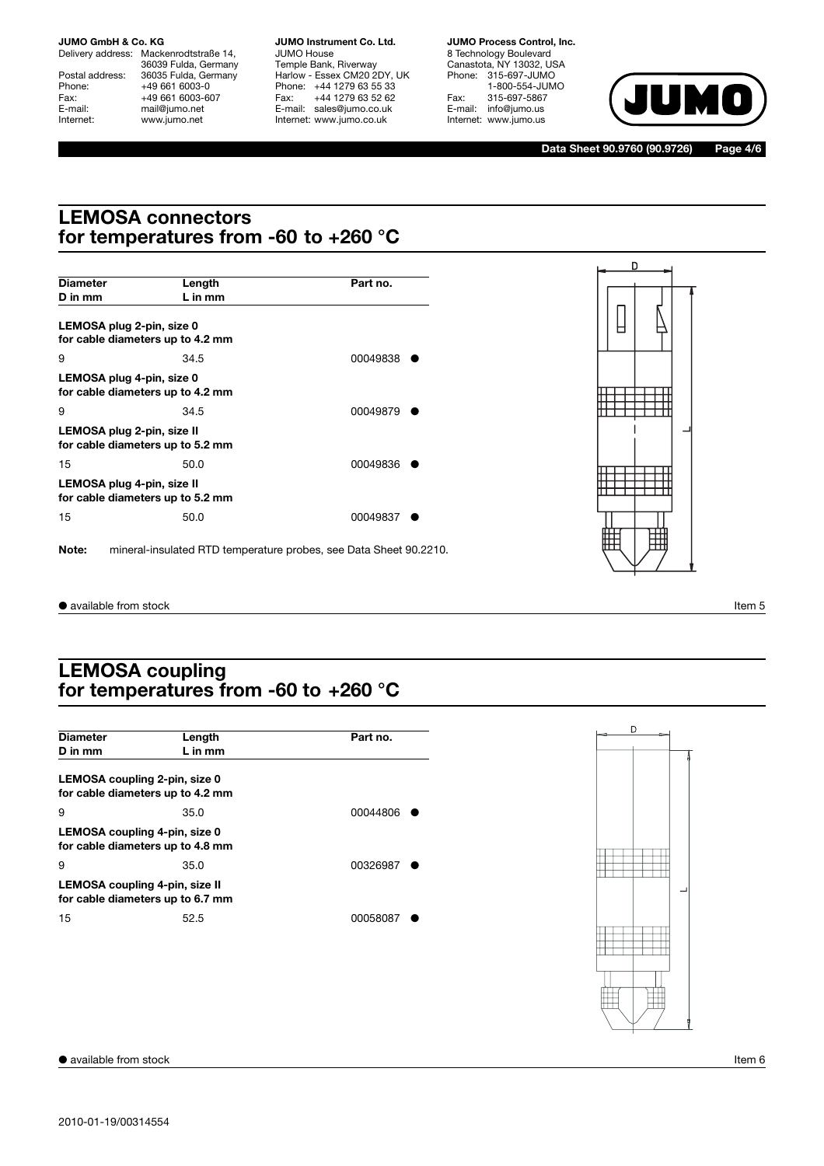Delivery address: Mackenrodtstraße 14, 36039 Fulda, Germany Postal address: 36035 Fulda, Germany<br>Phone: +49 661 6003-0 Phone: +49 661 6003-0<br>Fax: +49 661 6003-6 Fax: +49 661 6003-607<br>E-mail: +49 661 6003-607 E-mail: mail@jumo.net<br>
Internet: www.jumo.net www.jumo.net

**JUMO Instrument Co. Ltd.** JUMO House Temple Bank, Riverway Harlow - Essex CM20 2DY, UK Phone: +44 1279 63 55 33 Fax: +44 1279 63 52 62 E-mail: sales@jumo.co.uk Internet: www.jumo.co.uk

**JUMO Process Control, Inc.** 8 Technology Boulevard Canastota, NY 13032, USA Phone: 315-697-JUMO 1-800-554-JUMO Fax: 315-697-5867 E-mail: info@jumo.us Internet: www.jumo.us



**Data Sheet 90.9760 (90.9726) Page 4/6**

### **LEMOSA connectors for temperatures from -60 to +260 °C**

|                            |                                  |                                                                   | D       |
|----------------------------|----------------------------------|-------------------------------------------------------------------|---------|
| <b>Diameter</b>            | Length                           | Part no.                                                          |         |
| D in mm                    | $L$ in mm                        |                                                                   |         |
| LEMOSA plug 2-pin, size 0  | for cable diameters up to 4.2 mm |                                                                   | ㅂ       |
| 9                          | 34.5                             | 00049838                                                          |         |
| LEMOSA plug 4-pin, size 0  | for cable diameters up to 4.2 mm |                                                                   |         |
| 9                          | 34.5                             | 00049879                                                          |         |
| LEMOSA plug 2-pin, size II | for cable diameters up to 5.2 mm |                                                                   |         |
| 15                         | 50.0                             | 00049836                                                          |         |
| LEMOSA plug 4-pin, size II | for cable diameters up to 5.2 mm |                                                                   |         |
| 15                         | 50.0                             | 00049837                                                          |         |
| Note:                      |                                  | mineral-insulated RTD temperature probes, see Data Sheet 90.2210. | ⊞<br>╥╥ |

● available from stock Item 5

### **LEMOSA coupling for temperatures from -60 to +260 °C**

| <b>Diameter</b>               | Length                                                             | Part no. |
|-------------------------------|--------------------------------------------------------------------|----------|
| D in mm                       | L in mm                                                            |          |
| LEMOSA coupling 2-pin, size 0 |                                                                    |          |
|                               | for cable diameters up to 4.2 mm                                   |          |
| 9                             | 35.0                                                               | 00044806 |
|                               | LEMOSA coupling 4-pin, size 0<br>for cable diameters up to 4.8 mm  |          |
| 9                             | 35.0                                                               | 00326987 |
|                               | LEMOSA coupling 4-pin, size II<br>for cable diameters up to 6.7 mm |          |
| 15                            | 52.5                                                               | 00058087 |
|                               |                                                                    |          |
|                               |                                                                    |          |
|                               |                                                                    |          |
|                               |                                                                    |          |
|                               |                                                                    |          |
|                               |                                                                    |          |

● available from stock Item 6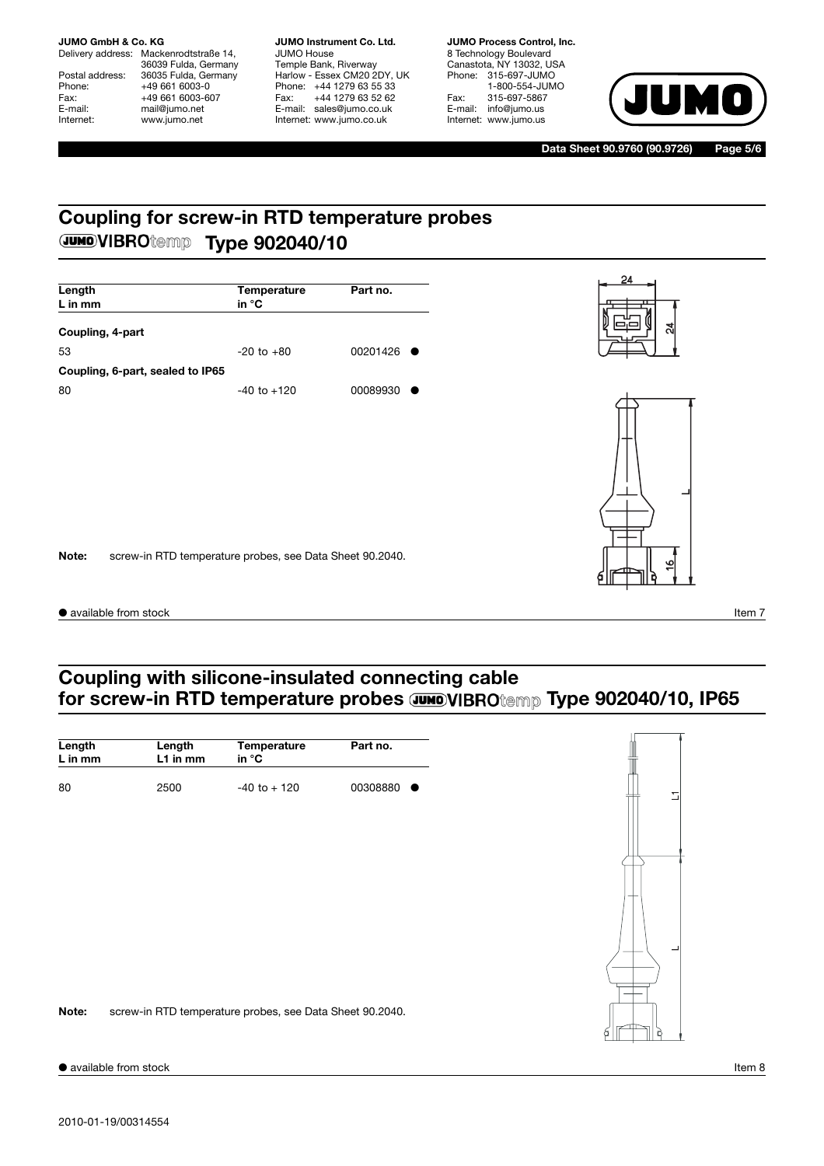Delivery address: Mackenrodtstraße 14, 36039 Fulda, Germany Postal address: 36035 Fulda, Germany<br>Phone: +49 661 6003-0 Phone: +49 661 6003-0<br>Fax: +49 661 6003-6 Fax: +49 661 6003-607<br>E-mail: +49 661 6003-607 E-mail: mail@jumo.net<br>
Internet: www.jumo.net www.jumo.net

**JUMO Instrument Co. Ltd.** JUMO House Temple Bank, Riverway Harlow - Essex CM20 2DY, UK Phone: +44 1279 63 55 33 Fax: +44 1279 63 52 62 E-mail: sales@jumo.co.uk Internet: www.jumo.co.uk

**JUMO Process Control, Inc.** 8 Technology Boulevard Canastota, NY 13032, USA Phone: 315-697-JUMO 1-800-554-JUMO Fax: 315-697-5867 E-mail: info@jumo.us Internet: www.jumo.us



**Data Sheet 90.9760 (90.9726) Page 5/6**

## **Coupling for screw-in RTD temperature probes JUMOVIBROtemp Type 902040/10**

| ្ល<br>Coupling, 4-part<br>$-20$ to $+80$<br>00201426<br>53<br>Coupling, 6-part, sealed to IP65<br>$-40$ to $+120$<br>00089930<br>80 | Length<br>$L$ in mm | Temperature<br>in °C | Part no. | 24<br>π |
|-------------------------------------------------------------------------------------------------------------------------------------|---------------------|----------------------|----------|---------|
|                                                                                                                                     |                     |                      |          |         |
|                                                                                                                                     |                     |                      |          |         |
|                                                                                                                                     |                     |                      |          |         |
| screw-in RTD temperature probes, see Data Sheet 90.2040.<br>∾<br>$\overline{\phantom{0}}$                                           | Note:               |                      |          |         |

### **Coupling with silicone-insulated connecting cable** for screw-in RTD temperature probes **JUMOVIBROtemp Type 902040/10, IP65**

| Length  | Length                                                   | Temperature     | Part no. |
|---------|----------------------------------------------------------|-----------------|----------|
| L in mm | L1 in mm                                                 | in °C           |          |
| 80      | 2500                                                     | $-40$ to $+120$ | 00308880 |
|         |                                                          |                 |          |
|         |                                                          |                 |          |
|         |                                                          |                 |          |
|         |                                                          |                 |          |
|         |                                                          |                 |          |
|         |                                                          |                 |          |
|         |                                                          |                 |          |
|         |                                                          |                 |          |
|         |                                                          |                 |          |
| Note:   | screw-in RTD temperature probes, see Data Sheet 90.2040. |                 |          |
|         |                                                          |                 |          |

● available from stock Item 8